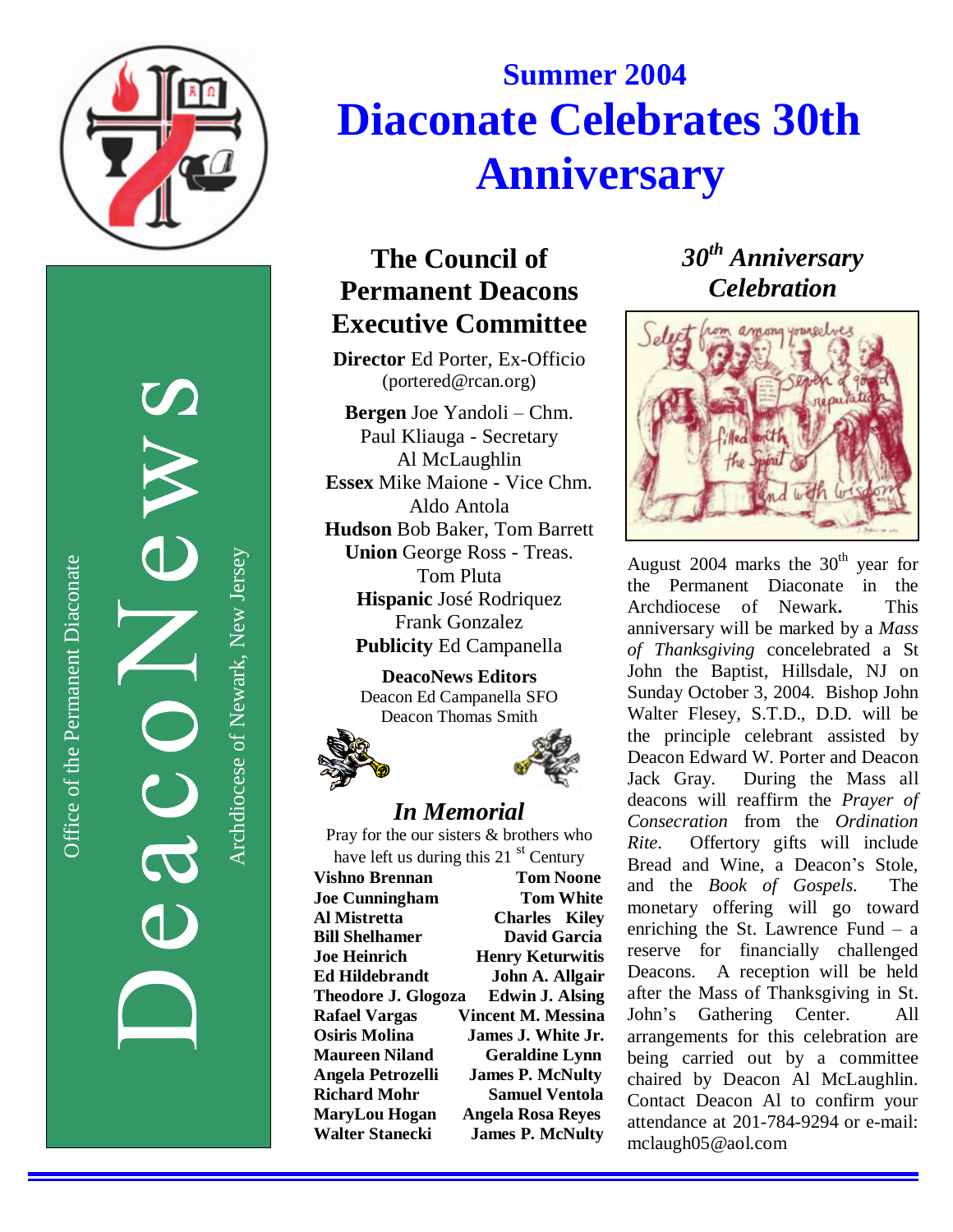

Office of the Permanent Diaconate

Office of the Permanent Diaconate

Archdiocese of Newark, New JerseyArchdiocese of Newark, New Jersey

# **Summer 2004 Diaconate Celebrates 30th Anniversary**

# **The Council of Permanent Deacons** Executive Committee

Director Ed Porter, Ex-Officio (portered@rcan.org)

Bergen Joe Yandoli - Chm. Paul Kliauga - Secretary Al McLaughlin **Essex** Mike Maione - Vice Chm. Aldo Antola Hudson Bob Baker, Tom Barrett **Union George Ross - Treas.** Tom Pluta Hispanic José Rodriquez Frank Gonzalez Publicity Ed Campanella

> **DeacoNews Editors** Deacon Ed Campanella SFO Deacon Thomas Smith





#### *In Me m o ria l*

Pray for the our sisters & brothers who have left us during this 21 st Century

Vishno Brennan **Tom Noone Joe Cunningham Tom White Al Mistretta Charles** Kiley **Bill Shelhamer David Garcia Joe Heinrich Henry Keturwitis** Ed Hildebrandt **John A. Allgair Theodore J. Glogoza** Edwin J. Alsing **Rafael Vargas** Vincent M. Messina **Osiris Molina James J. White Jr. Maureen Niland Geraldine Lynn** Angela Petrozelli **James P. McNulty Richard Mohr Samuel Ventola MaryLou Hogan** Angela Rosa Reyes Walter Stanecki **James P. McNulty**  *30<sup>th</sup>* Anniversary  $C$ *elebration* 



August 2004 marks the  $30<sup>th</sup>$  year for the Permanent Diaconate i n t h e Archdiocese of Newark. **This** anniversary will be marked by a Mass of Thanksgiving concelebrated a St John the Baptist, Hillsdale, NJ on Sunday October 3, 2004. Bishop John Walter Flesey, S.T.D., D.D. will be the principle celebrant assisted by Deacon Edward W. Porter and Deacon Jack Gray. During the Mass all deacons will reaffirm the Prayer of *Consecration* from the *Ordination R i t e* . Offertory gifts will include Bread and Wine, a Deacon's Stole, and the *Book of Gospels*. T h e monetary offering will go toward enriching the St. Lawrence Fund  $-$  a reserve for financially challenged Deacons. A reception will be held after the Mass of Thanksgiving in St. John's Gathering Center. A l l arrangements for this celebration are being carried out by a committee chaired by Deacon Al McLaughlin. Contact Deacon Al to confirm your attendance at 201-784-9294 or e-mail: mclaugh05@aol.com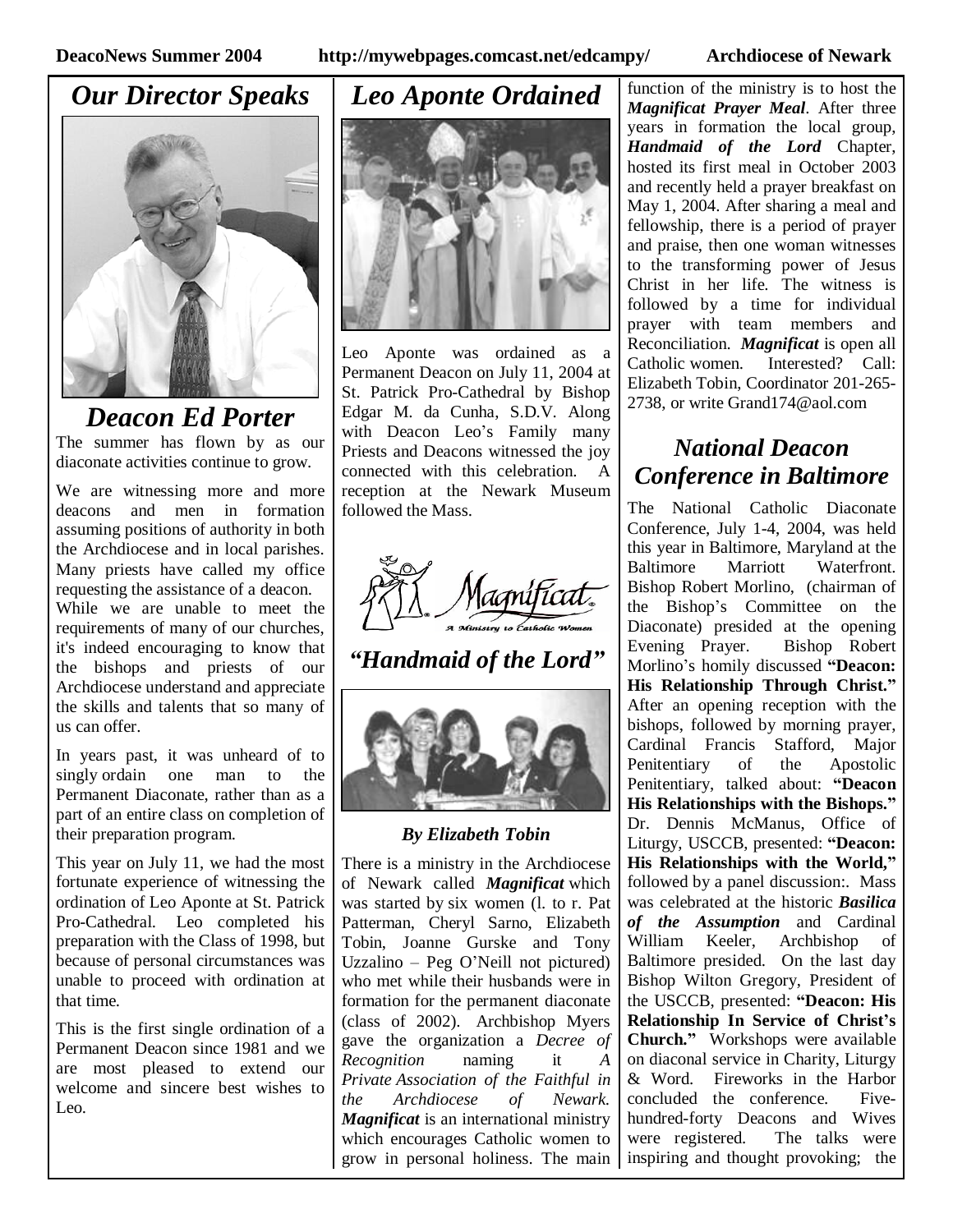## *Our Director Speaks*



#### *Deacon Ed Porter* The summer has flown by as our diaconate activities continue to grow.

We are witnessing more and more deacons and men in formation assuming positions of authority in both the Archdiocese and in local parishes. Many priests have called my office requesting the assistance of a deacon. While we are unable to meet the requirements of many of our churches, it's indeed encouraging to know that the bishops and priests of our Archdiocese understand and appreciate the skills and talents that so many of us can offer.

In years past, it was unheard of to singly ordain one man to the Permanent Diaconate, rather than as a part of an entire class on completion of their preparation program.

This year on July 11, we had the most fortunate experience of witnessing the ordination of Leo Aponte at St. Patrick Pro-Cathedral. Leo completed his preparation with the Class of 1998, but because of personal circumstances was unable to proceed with ordination at that time.

This is the first single ordination of a Permanent Deacon since 1981 and we are most pleased to extend our welcome and sincere best wishes to Leo.

#### *Leo Aponte Ordained*



Leo Aponte was ordained as a Permanent Deacon on July 11, 2004 at St. Patrick Pro-Cathedral by Bishop Edgar M. da Cunha, S.D.V. Along with Deacon Leo's Family many Priests and Deacons witnessed the joy connected with this celebration. A reception at the Newark Museum followed the Mass.



#### *"Handmaid of the Lord"*



#### *By Elizabeth Tobin*

There is a ministry in the Archdiocese of Newark called *Magnificat* which was started by six women (l. to r. Pat Patterman, Cheryl Sarno, Elizabeth Tobin, Joanne Gurske and Tony Uzzalino – Peg O'Neill not pictured) who met while their husbands were in formation for the permanent diaconate (class of 2002). Archbishop Myers gave the organization a *Decree of Recognition* naming it *A Private Association of the Faithful in the Archdiocese of Newark. Magnificat* is an international ministry which encourages Catholic women to grow in personal holiness. The main function of the ministry is to host the *Magnificat Prayer Meal*. After three years in formation the local group, *Handmaid of the Lord* Chapter, hosted its first meal in October 2003 and recently held a prayer breakfast on May 1, 2004. After sharing a meal and fellowship, there is a period of prayer and praise, then one woman witnesses to the transforming power of Jesus Christ in her life. The witness is followed by a time for individual prayer with team members and Reconciliation. *Magnificat* is open all Catholic women. Interested? Call: Elizabeth Tobin, Coordinator 201-265- 2738, or write Grand174@aol.com

### *National Deacon Conference in Baltimore*

The National Catholic Diaconate Conference, July 1-4, 2004, was held this year in Baltimore, Maryland at the Baltimore Marriott Waterfront. Bishop Robert Morlino, (chairman of the Bishop's Committee on the Diaconate) presided at the opening Evening Prayer. Bishop Robert Morlino's homily discussed **"Deacon: His Relationship Through Christ."** After an opening reception with the bishops, followed by morning prayer, Cardinal Francis Stafford, Major Penitentiary of the Apostolic Penitentiary, talked about: **"Deacon His Relationships with the Bishops."** Dr. Dennis McManus, Office of Liturgy, USCCB, presented: **"Deacon: His Relationships with the World,"** followed by a panel discussion:. Mass was celebrated at the historic *Basilica of the Assumption* and Cardinal William Keeler, Archbishop of Baltimore presided. On the last day Bishop Wilton Gregory, President of the USCCB, presented: **"Deacon: His Relationship In Service of Christ's Church."** Workshops were available on diaconal service in Charity, Liturgy & Word. Fireworks in the Harbor concluded the conference. Fivehundred-forty Deacons and Wives were registered. The talks were inspiring and thought provoking; the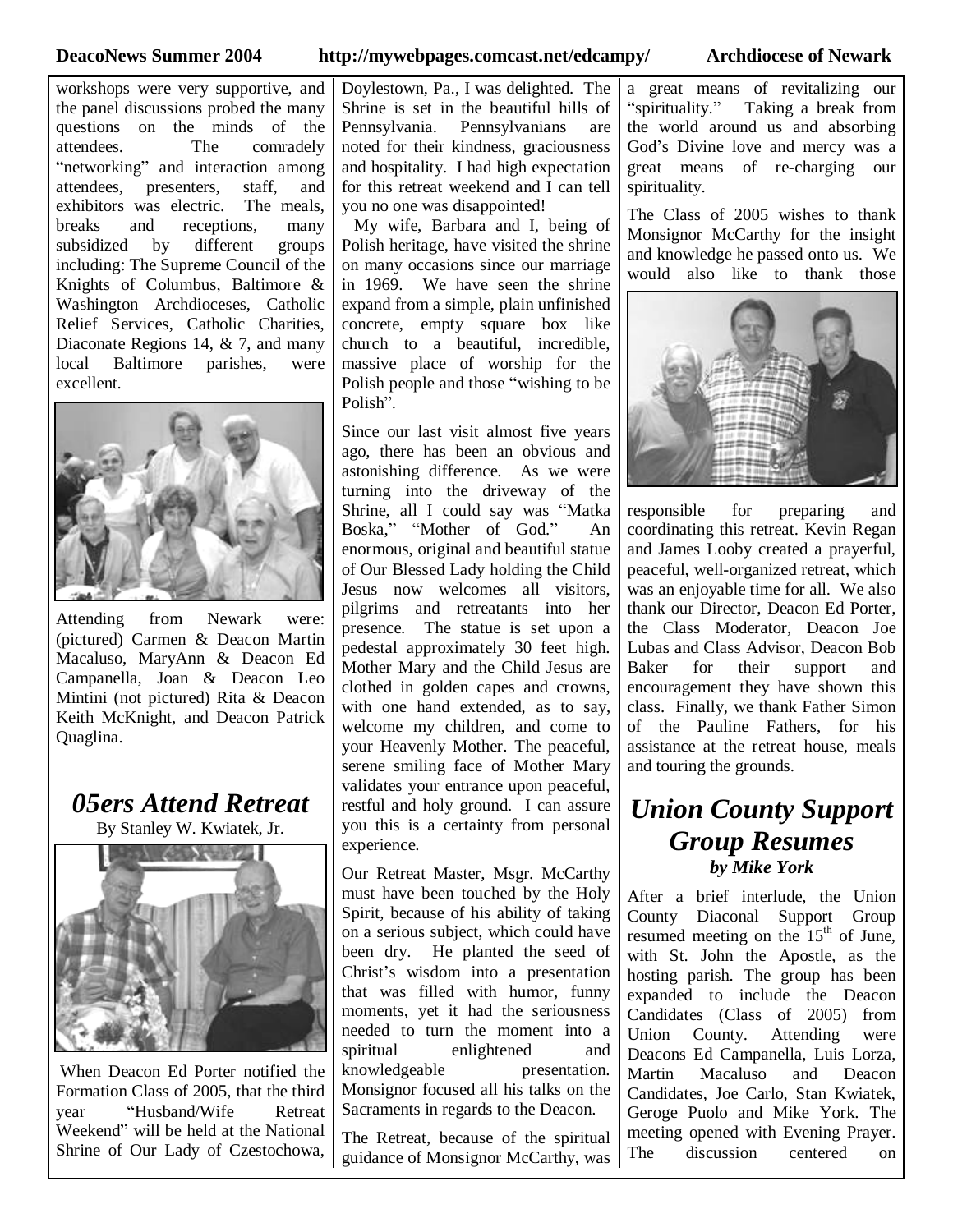**DeacoNews Summer 2004 http://mywebpages.comcast.net/edcampy/ Archdiocese of Newark**

workshops were very supportive, and the panel discussions probed the many questions on the minds of the attendees. The comradely "networking" and interaction among attendees, presenters, staff, and exhibitors was electric. The meals, breaks and receptions, many subsidized by different groups including: The Supreme Council of the Knights of Columbus, Baltimore & Washington Archdioceses, Catholic Relief Services, Catholic Charities, Diaconate Regions 14, & 7, and many local Baltimore parishes, were excellent.



Attending from Newark were: (pictured) Carmen & Deacon Martin Macaluso, MaryAnn & Deacon Ed Campanella, Joan & Deacon Leo Mintini (not pictured) Rita & Deacon Keith McKnight, and Deacon Patrick Quaglina.

*05ers Attend Retreat* By Stanley W. Kwiatek, Jr.



When Deacon Ed Porter notified the Formation Class of 2005, that the third year "Husband/Wife Retreat Weekend" will be held at the National Shrine of Our Lady of Czestochowa, Doylestown, Pa., I was delighted. The Shrine is set in the beautiful hills of Pennsylvania. Pennsylvanians are noted for their kindness, graciousness and hospitality. I had high expectation for this retreat weekend and I can tell you no one was disappointed!

My wife, Barbara and I, being of Polish heritage, have visited the shrine on many occasions since our marriage in 1969. We have seen the shrine expand from a simple, plain unfinished concrete, empty square box like church to a beautiful, incredible, massive place of worship for the Polish people and those "wishing to be Polish".

Since our last visit almost five years ago, there has been an obvious and astonishing difference. As we were turning into the driveway of the Shrine, all I could say was "Matka Boska," "Mother of God." An enormous, original and beautiful statue of Our Blessed Lady holding the Child Jesus now welcomes all visitors, pilgrims and retreatants into her presence. The statue is set upon a pedestal approximately 30 feet high. Mother Mary and the Child Jesus are clothed in golden capes and crowns, with one hand extended, as to say, welcome my children, and come to your Heavenly Mother. The peaceful, serene smiling face of Mother Mary validates your entrance upon peaceful, restful and holy ground. I can assure you this is a certainty from personal experience.

Our Retreat Master, Msgr. McCarthy must have been touched by the Holy Spirit, because of his ability of taking on a serious subject, which could have been dry. He planted the seed of Christ's wisdom into a presentation that was filled with humor, funny moments, yet it had the seriousness needed to turn the moment into a spiritual enlightened and knowledgeable presentation. Monsignor focused all his talks on the Sacraments in regards to the Deacon.

The Retreat, because of the spiritual guidance of Monsignor McCarthy, was a great means of revitalizing our "spirituality." Taking a break from the world around us and absorbing God's Divine love and mercy was a great means of re-charging our spirituality.

The Class of 2005 wishes to thank Monsignor McCarthy for the insight and knowledge he passed onto us. We would also like to thank those



responsible for preparing and coordinating this retreat. Kevin Regan and James Looby created a prayerful, peaceful, well-organized retreat, which was an enjoyable time for all. We also thank our Director, Deacon Ed Porter, the Class Moderator, Deacon Joe Lubas and Class Advisor, Deacon Bob Baker for their support and encouragement they have shown this class. Finally, we thank Father Simon of the Pauline Fathers, for his assistance at the retreat house, meals and touring the grounds.

#### *Union County Support Group Resumes by Mike York*

After a brief interlude, the Union County Diaconal Support Group resumed meeting on the 15<sup>th</sup> of June, with St. John the Apostle, as the hosting parish. The group has been expanded to include the Deacon Candidates (Class of 2005) from Union County. Attending were Deacons Ed Campanella, Luis Lorza, Martin Macaluso and Deacon Candidates, Joe Carlo, Stan Kwiatek, Geroge Puolo and Mike York. The meeting opened with Evening Prayer. The discussion centered on